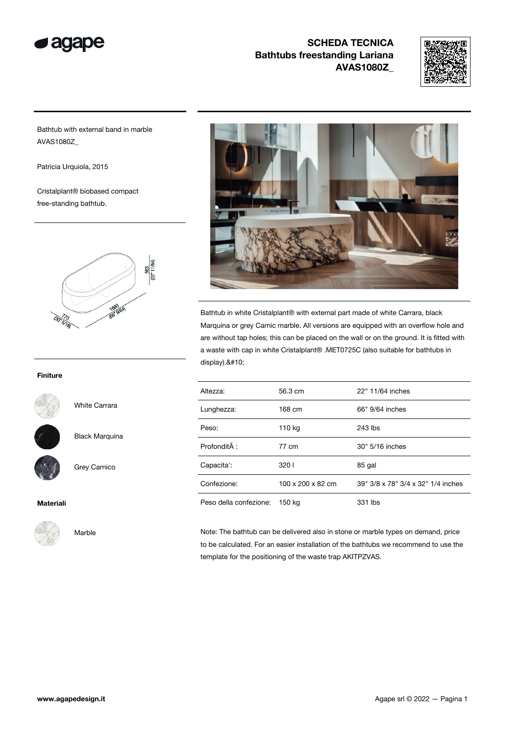



Bathtub with external band in marble AVAS1080Z\_

Patricia Urquiola, 2015

Cristalplant® biobased compact free-standing bathtub.



#### Finiture



White Carrara

Black Marquina

Grey Carnico

Marble

#### Materiali



Bathtub in white Cristalplant® with external part made of white Carrara, black Marquina or grey Carnic marble. All versions are equipped with an overflow hole and are without tap holes; this can be placed on the wall or on the ground. It is fitted with a waste with cap in white Cristalplant® .MET0725C (also suitable for bathtubs in display).

| Altezza:               | 56.3 cm           | 22" 11/64 inches                   |
|------------------------|-------------------|------------------------------------|
| Lunghezza:             | 168 cm            | 66" 9/64 inches                    |
| Peso:                  | 110 kg            | 243 lbs                            |
| ProfonditÂ:            | 77 cm             | 30" 5/16 inches                    |
| Capacita':             | 3201              | 85 gal                             |
| Confezione:            | 100 x 200 x 82 cm | 39" 3/8 x 78" 3/4 x 32" 1/4 inches |
| Peso della confezione: | 150 kg            | 331 lbs                            |

Note: The bathtub can be delivered also in stone or marble types on demand, price to be calculated. For an easier installation of the bathtubs we recommend to use the template for the positioning of the waste trap AKITPZVAS.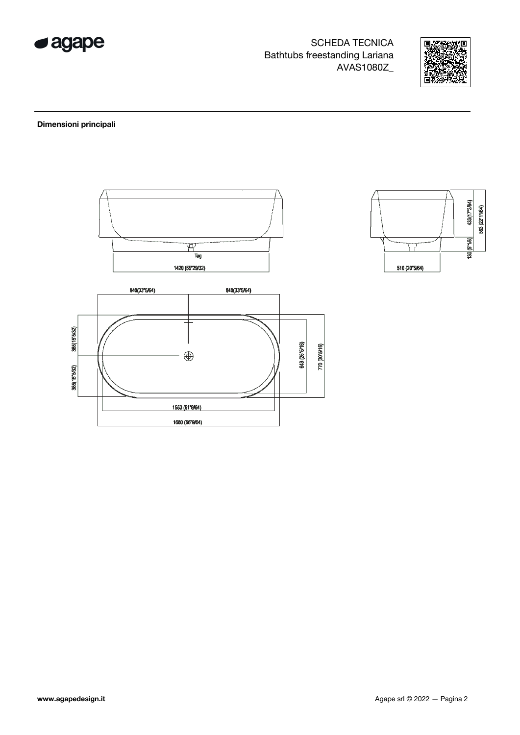



### Dimensioni principali



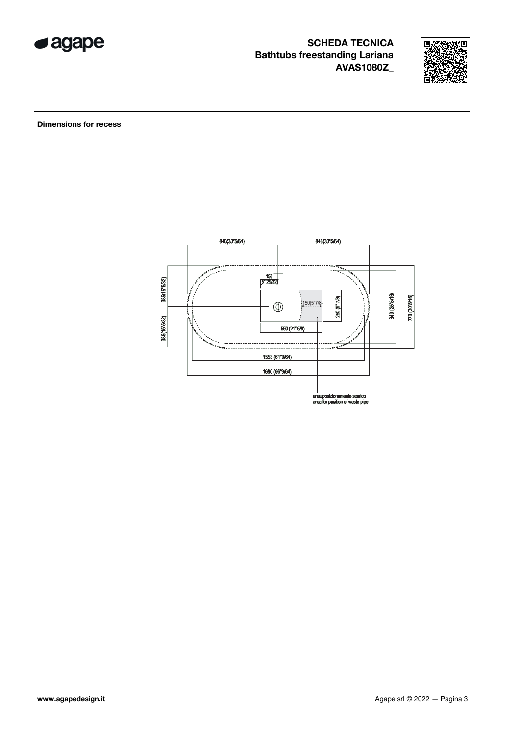



**Dimensions for recess** 

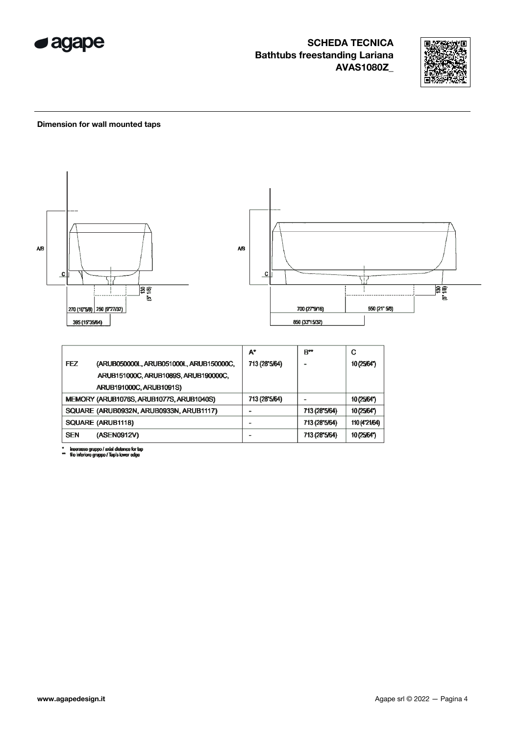



#### Dimension for wall mounted taps



inserasse gruppo / axial distance for tap<br>filo inferiore gruppo / Tap's lower edge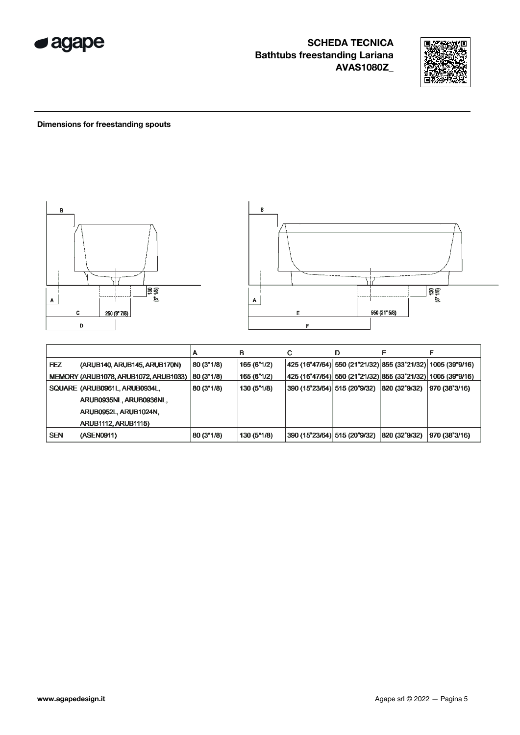



### Dimensions for freestanding spouts



|            |                                       | m          | в           | С                                             | D | Е             |                                                                               |
|------------|---------------------------------------|------------|-------------|-----------------------------------------------|---|---------------|-------------------------------------------------------------------------------|
| <b>FEZ</b> | (ARUB140, ARUB145, ARUB170N)          | 80 (3"1/8) | 165 (6"1/2) |                                               |   |               | $ 425 (16^{n}47/64)  550 (21^{n}21/32)  855 (33^{n}21/32)  1005 (39^{n}9/16)$ |
|            | MEMORY (ARUB1078, ARUB1072, ARUB1033) | 80 (3"1/8) | 165(6"1/2)  |                                               |   |               | 425 (16"47/64)  550 (21"21/32)  855 (33"21/32)  1005 (39"9/16)                |
|            | SQUARE (ARUB0961L, ARUB0934L,         | 80 (3"1/8) | 130(5"1/8)  | 390 (15"23/64)  515 (20"9/32)   820 (32"9/32) |   |               | 970 (38"3/16)                                                                 |
|            | ARUB0935NL, ARUB0936NL,               |            |             |                                               |   |               |                                                                               |
|            | ARUB0952L, ARUB1024N,                 |            |             |                                               |   |               |                                                                               |
|            | <b>ARUB1112, ARUB1115)</b>            |            |             |                                               |   |               |                                                                               |
| <b>SEN</b> | (ASEN0911)                            | 80 (3"1/8) | 130 (5"1/8) | 390 (15"23/64)  515 (20"9/32)                 |   | 820 (32°9/32) | 970 (38"3/16)                                                                 |